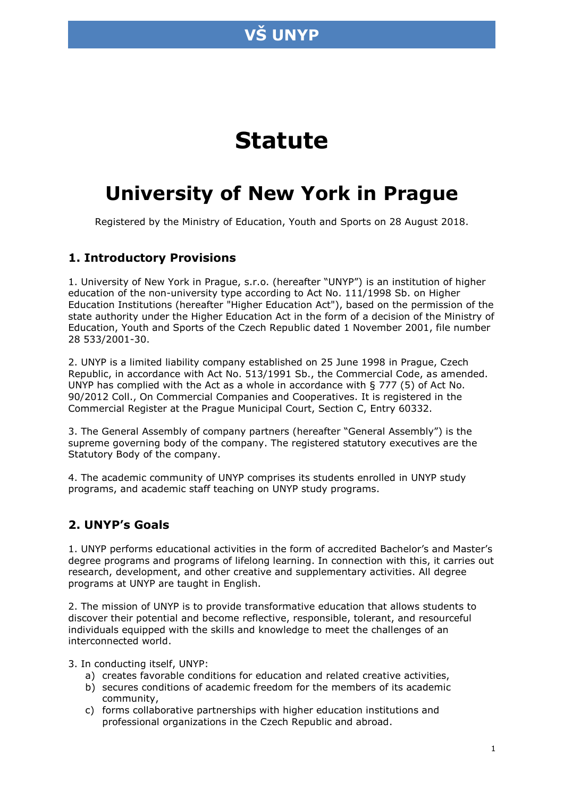

# **Statute**

# **University of New York in Prague**

Registered by the Ministry of Education, Youth and Sports on 28 August 2018.

### **1. Introductory Provisions**

1. University of New York in Prague, s.r.o. (hereafter "UNYP") is an institution of higher education of the non-university type according to Act No. 111/1998 Sb. on Higher Education Institutions (hereafter "Higher Education Act"), based on the permission of the state authority under the Higher Education Act in the form of a decision of the Ministry of Education, Youth and Sports of the Czech Republic dated 1 November 2001, file number 28 533/2001-30.

2. UNYP is a limited liability company established on 25 June 1998 in Prague, Czech Republic, in accordance with Act No. 513/1991 Sb., the Commercial Code, as amended. UNYP has complied with the Act as a whole in accordance with § 777 (5) of Act No. 90/2012 Coll., On Commercial Companies and Cooperatives. It is registered in the Commercial Register at the Prague Municipal Court, Section C, Entry 60332.

3. The General Assembly of company partners (hereafter "General Assembly") is the supreme governing body of the company. The registered statutory executives are the Statutory Body of the company.

4. The academic community of UNYP comprises its students enrolled in UNYP study programs, and academic staff teaching on UNYP study programs.

### **2. UNYP's Goals**

1. UNYP performs educational activities in the form of accredited Bachelor's and Master's degree programs and programs of lifelong learning. In connection with this, it carries out research, development, and other creative and supplementary activities. All degree programs at UNYP are taught in English.

2. The mission of UNYP is to provide transformative education that allows students to discover their potential and become reflective, responsible, tolerant, and resourceful individuals equipped with the skills and knowledge to meet the challenges of an interconnected world.

3. In conducting itself, UNYP:

- a) creates favorable conditions for education and related creative activities,
- b) secures conditions of academic freedom for the members of its academic community,
- c) forms collaborative partnerships with higher education institutions and professional organizations in the Czech Republic and abroad.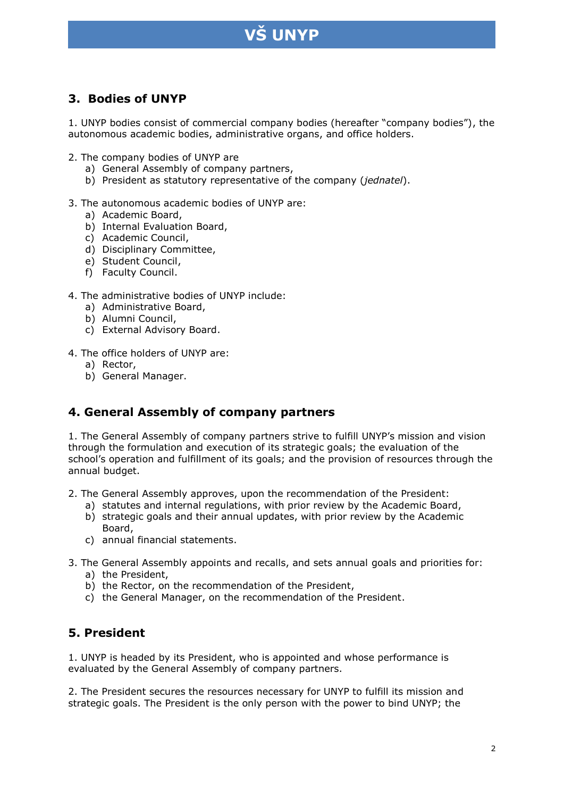

### **3. Bodies of UNYP**

1. UNYP bodies consist of commercial company bodies (hereafter "company bodies"), the autonomous academic bodies, administrative organs, and office holders.

2. The company bodies of UNYP are

- a) General Assembly of company partners,
- b) President as statutory representative of the company (*jednatel*).

#### 3. The autonomous academic bodies of UNYP are:

- a) Academic Board,
- b) Internal Evaluation Board,
- c) Academic Council,
- d) Disciplinary Committee,
- e) Student Council,
- f) Faculty Council.

#### 4. The administrative bodies of UNYP include:

- a) Administrative Board,
- b) Alumni Council,
- c) External Advisory Board.
- 4. The office holders of UNYP are:
	- a) Rector,
	- b) General Manager.

### **4. General Assembly of company partners**

1. The General Assembly of company partners strive to fulfill UNYP's mission and vision through the formulation and execution of its strategic goals; the evaluation of the school's operation and fulfillment of its goals; and the provision of resources through the annual budget.

- 2. The General Assembly approves, upon the recommendation of the President:
	- a) statutes and internal regulations, with prior review by the Academic Board,
	- b) strategic goals and their annual updates, with prior review by the Academic Board,
	- c) annual financial statements.
- 3. The General Assembly appoints and recalls, and sets annual goals and priorities for:
	- a) the President,
	- b) the Rector, on the recommendation of the President,
	- c) the General Manager, on the recommendation of the President.

### **5. President**

1. UNYP is headed by its President, who is appointed and whose performance is evaluated by the General Assembly of company partners.

2. The President secures the resources necessary for UNYP to fulfill its mission and strategic goals. The President is the only person with the power to bind UNYP; the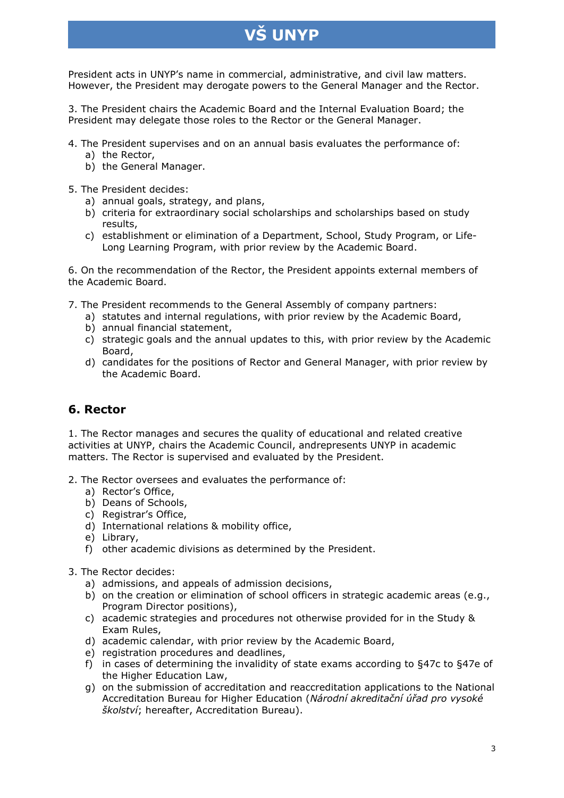President acts in UNYP's name in commercial, administrative, and civil law matters. However, the President may derogate powers to the General Manager and the Rector.

3. The President chairs the Academic Board and the Internal Evaluation Board; the President may delegate those roles to the Rector or the General Manager.

- 4. The President supervises and on an annual basis evaluates the performance of:
	- a) the Rector,
	- b) the General Manager.
- 5. The President decides:
	- a) annual goals, strategy, and plans,
	- b) criteria for extraordinary social scholarships and scholarships based on study results,
	- c) establishment or elimination of a Department, School, Study Program, or Life-Long Learning Program, with prior review by the Academic Board.

6. On the recommendation of the Rector, the President appoints external members of the Academic Board.

- 7. The President recommends to the General Assembly of company partners:
	- a) statutes and internal regulations, with prior review by the Academic Board,
	- b) annual financial statement,
	- c) strategic goals and the annual updates to this, with prior review by the Academic Board,
	- d) candidates for the positions of Rector and General Manager, with prior review by the Academic Board.

### **6. Rector**

1. The Rector manages and secures the quality of educational and related creative activities at UNYP, chairs the Academic Council, andrepresents UNYP in academic matters. The Rector is supervised and evaluated by the President.

- 2. The Rector oversees and evaluates the performance of:
	- a) Rector's Office,
	- b) Deans of Schools,
	- c) Registrar's Office,
	- d) International relations & mobility office,
	- e) Library,
	- f) other academic divisions as determined by the President.
- 3. The Rector decides:
	- a) admissions, and appeals of admission decisions,
	- b) on the creation or elimination of school officers in strategic academic areas (e.g., Program Director positions),
	- c) academic strategies and procedures not otherwise provided for in the Study & Exam Rules,
	- d) academic calendar, with prior review by the Academic Board,
	- e) registration procedures and deadlines,
	- f) in cases of determining the invalidity of state exams according to §47c to §47e of the Higher Education Law,
	- g) on the submission of accreditation and reaccreditation applications to the National Accreditation Bureau for Higher Education (*Národní akreditační úřad pro vysoké školství*; hereafter, Accreditation Bureau).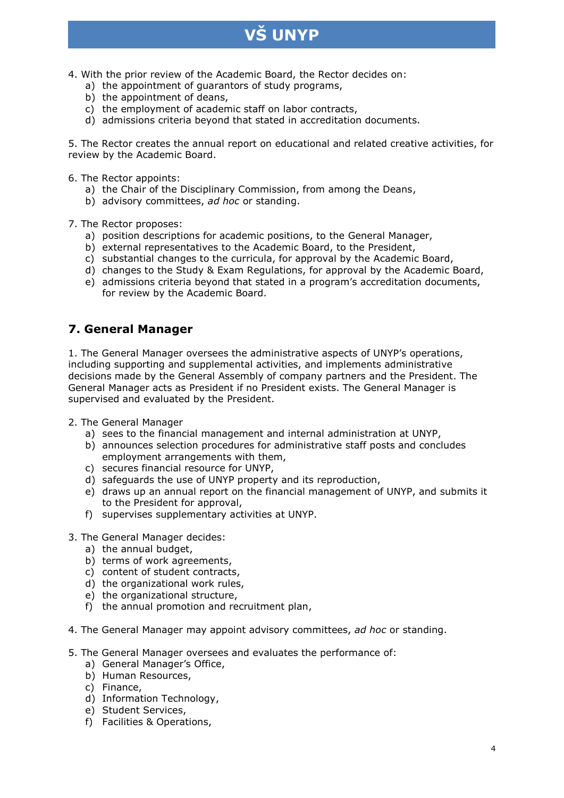- **VŠ UNYP**
- 4. With the prior review of the Academic Board, the Rector decides on:
	- a) the appointment of guarantors of study programs,
	- b) the appointment of deans,
	- c) the employment of academic staff on labor contracts,
	- d) admissions criteria beyond that stated in accreditation documents.

5. The Rector creates the annual report on educational and related creative activities, for review by the Academic Board.

- 6. The Rector appoints:
	- a) the Chair of the Disciplinary Commission, from among the Deans,
	- b) advisory committees, *ad hoc* or standing.

7. The Rector proposes:

- a) position descriptions for academic positions, to the General Manager,
- b) external representatives to the Academic Board, to the President,
- c) substantial changes to the curricula, for approval by the Academic Board,
- d) changes to the Study & Exam Regulations, for approval by the Academic Board,
- e) admissions criteria beyond that stated in a program's accreditation documents, for review by the Academic Board.

### **7. General Manager**

1. The General Manager oversees the administrative aspects of UNYP's operations, including supporting and supplemental activities, and implements administrative decisions made by the General Assembly of company partners and the President. The General Manager acts as President if no President exists. The General Manager is supervised and evaluated by the President.

- 2. The General Manager
	- a) sees to the financial management and internal administration at UNYP,
	- b) announces selection procedures for administrative staff posts and concludes employment arrangements with them,
	- c) secures financial resource for UNYP,
	- d) safeguards the use of UNYP property and its reproduction,
	- e) draws up an annual report on the financial management of UNYP, and submits it to the President for approval,
	- f) supervises supplementary activities at UNYP.
- 3. The General Manager decides:
	- a) the annual budget,
	- b) terms of work agreements,
	- c) content of student contracts,
	- d) the organizational work rules,
	- e) the organizational structure,
	- f) the annual promotion and recruitment plan,
- 4. The General Manager may appoint advisory committees, *ad hoc* or standing.
- 5. The General Manager oversees and evaluates the performance of:
	- a) General Manager's Office,
	- b) Human Resources,
	- c) Finance,
	- d) Information Technology,
	- e) Student Services,
	- f) Facilities & Operations,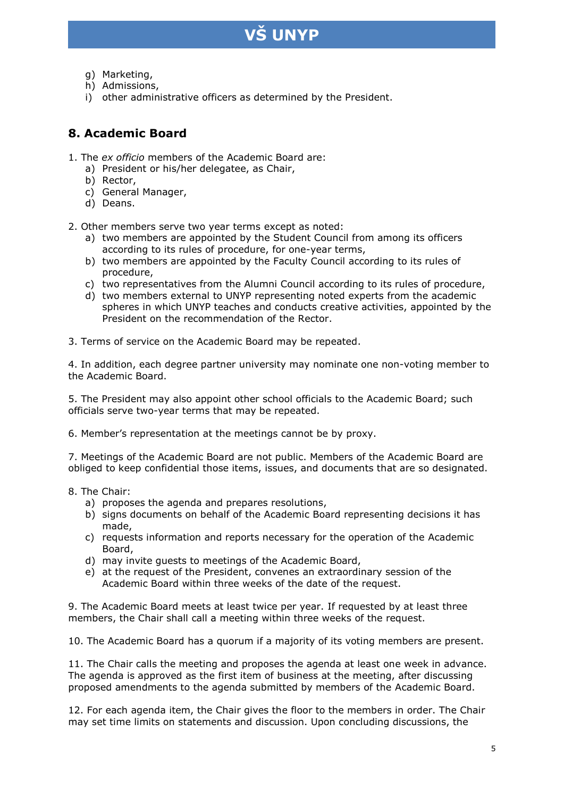- g) Marketing,
- h) Admissions,
- i) other administrative officers as determined by the President.

## **8. Academic Board**

- 1. The *ex officio* members of the Academic Board are:
	- a) President or his/her delegatee, as Chair,
	- b) Rector,
	- c) General Manager,
	- d) Deans.

2. Other members serve two year terms except as noted:

- a) two members are appointed by the Student Council from among its officers according to its rules of procedure, for one-year terms,
- b) two members are appointed by the Faculty Council according to its rules of procedure,
- c) two representatives from the Alumni Council according to its rules of procedure,
- d) two members external to UNYP representing noted experts from the academic spheres in which UNYP teaches and conducts creative activities, appointed by the President on the recommendation of the Rector.

3. Terms of service on the Academic Board may be repeated.

4. In addition, each degree partner university may nominate one non-voting member to the Academic Board.

5. The President may also appoint other school officials to the Academic Board; such officials serve two-year terms that may be repeated.

6. Member's representation at the meetings cannot be by proxy.

7. Meetings of the Academic Board are not public. Members of the Academic Board are obliged to keep confidential those items, issues, and documents that are so designated.

- 8. The Chair:
	- a) proposes the agenda and prepares resolutions,
	- b) signs documents on behalf of the Academic Board representing decisions it has made,
	- c) requests information and reports necessary for the operation of the Academic Board,
	- d) may invite guests to meetings of the Academic Board,
	- e) at the request of the President, convenes an extraordinary session of the Academic Board within three weeks of the date of the request.

9. The Academic Board meets at least twice per year. If requested by at least three members, the Chair shall call a meeting within three weeks of the request.

10. The Academic Board has a quorum if a majority of its voting members are present.

11. The Chair calls the meeting and proposes the agenda at least one week in advance. The agenda is approved as the first item of business at the meeting, after discussing proposed amendments to the agenda submitted by members of the Academic Board.

12. For each agenda item, the Chair gives the floor to the members in order. The Chair may set time limits on statements and discussion. Upon concluding discussions, the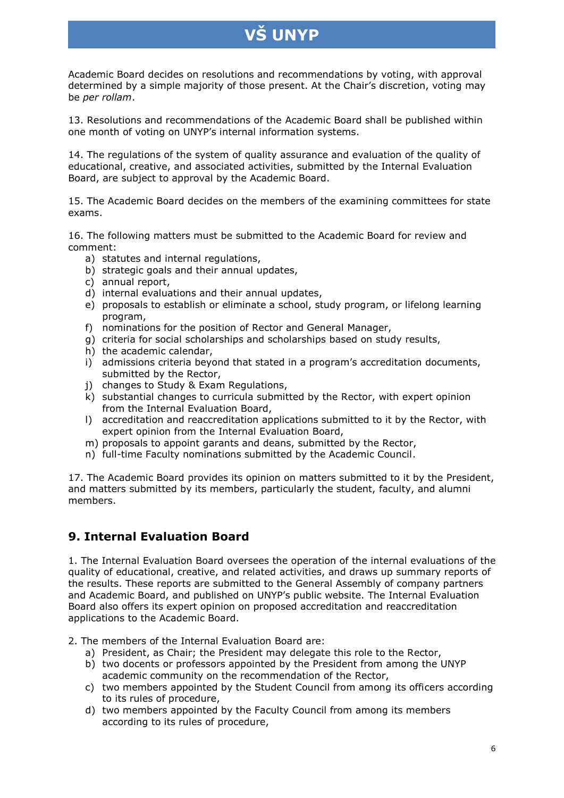Academic Board decides on resolutions and recommendations by voting, with approval determined by a simple majority of those present. At the Chair's discretion, voting may be *per rollam*.

13. Resolutions and recommendations of the Academic Board shall be published within one month of voting on UNYP's internal information systems.

14. The regulations of the system of quality assurance and evaluation of the quality of educational, creative, and associated activities, submitted by the Internal Evaluation Board, are subject to approval by the Academic Board.

15. The Academic Board decides on the members of the examining committees for state exams.

16. The following matters must be submitted to the Academic Board for review and comment:

- a) statutes and internal regulations,
- b) strategic goals and their annual updates,
- c) annual report,
- d) internal evaluations and their annual updates,
- e) proposals to establish or eliminate a school, study program, or lifelong learning program,
- f) nominations for the position of Rector and General Manager,
- g) criteria for social scholarships and scholarships based on study results,
- h) the academic calendar,
- i) admissions criteria beyond that stated in a program's accreditation documents, submitted by the Rector,
- j) changes to Study & Exam Regulations,
- k) substantial changes to curricula submitted by the Rector, with expert opinion from the Internal Evaluation Board,
- l) accreditation and reaccreditation applications submitted to it by the Rector, with expert opinion from the Internal Evaluation Board,
- m) proposals to appoint garants and deans, submitted by the Rector,
- n) full-time Faculty nominations submitted by the Academic Council.

17. The Academic Board provides its opinion on matters submitted to it by the President, and matters submitted by its members, particularly the student, faculty, and alumni members.

### **9. Internal Evaluation Board**

1. The Internal Evaluation Board oversees the operation of the internal evaluations of the quality of educational, creative, and related activities, and draws up summary reports of the results. These reports are submitted to the General Assembly of company partners and Academic Board, and published on UNYP's public website. The Internal Evaluation Board also offers its expert opinion on proposed accreditation and reaccreditation applications to the Academic Board.

2. The members of the Internal Evaluation Board are:

- a) President, as Chair; the President may delegate this role to the Rector,
- b) two docents or professors appointed by the President from among the UNYP academic community on the recommendation of the Rector,
- c) two members appointed by the Student Council from among its officers according to its rules of procedure,
- d) two members appointed by the Faculty Council from among its members according to its rules of procedure,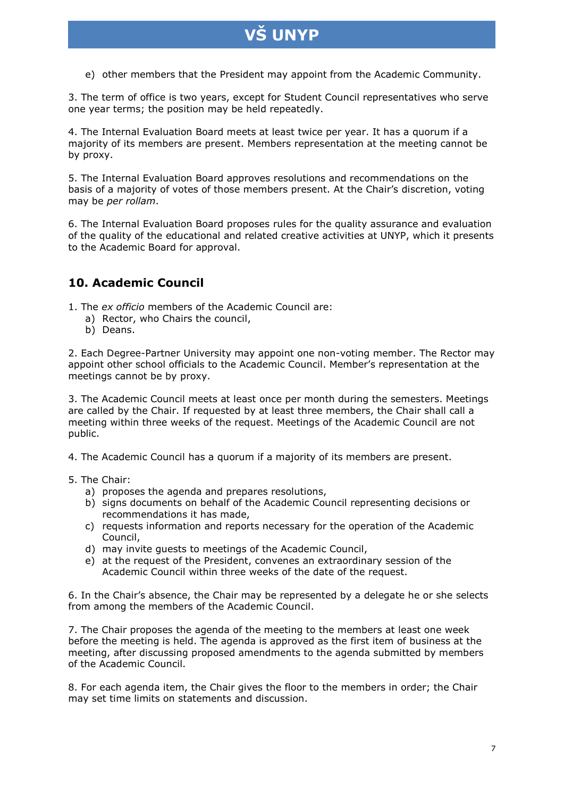e) other members that the President may appoint from the Academic Community.

3. The term of office is two years, except for Student Council representatives who serve one year terms; the position may be held repeatedly.

4. The Internal Evaluation Board meets at least twice per year. It has a quorum if a majority of its members are present. Members representation at the meeting cannot be by proxy.

5. The Internal Evaluation Board approves resolutions and recommendations on the basis of a majority of votes of those members present. At the Chair's discretion, voting may be *per rollam*.

6. The Internal Evaluation Board proposes rules for the quality assurance and evaluation of the quality of the educational and related creative activities at UNYP, which it presents to the Academic Board for approval.

### **10. Academic Council**

1. The *ex officio* members of the Academic Council are:

- a) Rector, who Chairs the council,
- b) Deans.

2. Each Degree-Partner University may appoint one non-voting member. The Rector may appoint other school officials to the Academic Council. Member's representation at the meetings cannot be by proxy.

3. The Academic Council meets at least once per month during the semesters. Meetings are called by the Chair. If requested by at least three members, the Chair shall call a meeting within three weeks of the request. Meetings of the Academic Council are not public.

4. The Academic Council has a quorum if a majority of its members are present.

- 5. The Chair:
	- a) proposes the agenda and prepares resolutions,
	- b) signs documents on behalf of the Academic Council representing decisions or recommendations it has made,
	- c) requests information and reports necessary for the operation of the Academic Council,
	- d) may invite guests to meetings of the Academic Council,
	- e) at the request of the President, convenes an extraordinary session of the Academic Council within three weeks of the date of the request.

6. In the Chair's absence, the Chair may be represented by a delegate he or she selects from among the members of the Academic Council.

7. The Chair proposes the agenda of the meeting to the members at least one week before the meeting is held. The agenda is approved as the first item of business at the meeting, after discussing proposed amendments to the agenda submitted by members of the Academic Council.

8. For each agenda item, the Chair gives the floor to the members in order; the Chair may set time limits on statements and discussion.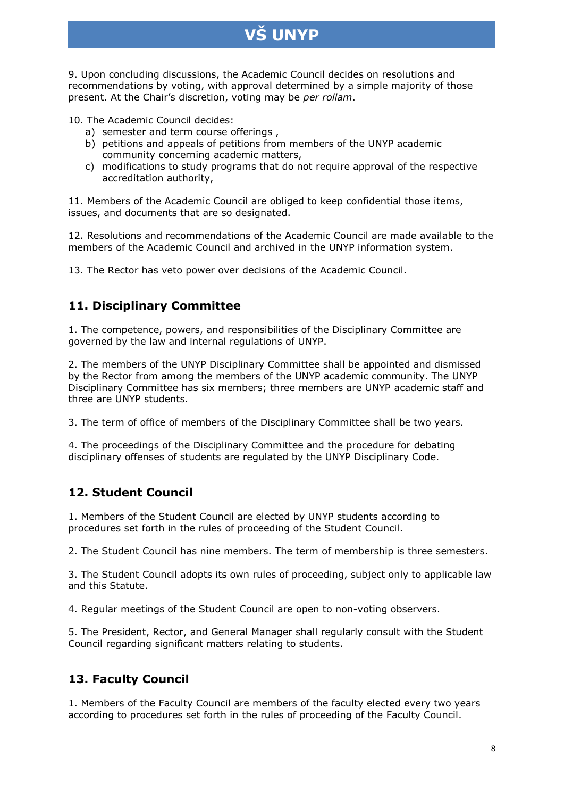9. Upon concluding discussions, the Academic Council decides on resolutions and recommendations by voting, with approval determined by a simple majority of those present. At the Chair's discretion, voting may be *per rollam*.

10. The Academic Council decides:

- a) semester and term course offerings ,
- b) petitions and appeals of petitions from members of the UNYP academic community concerning academic matters,
- c) modifications to study programs that do not require approval of the respective accreditation authority,

11. Members of the Academic Council are obliged to keep confidential those items, issues, and documents that are so designated.

12. Resolutions and recommendations of the Academic Council are made available to the members of the Academic Council and archived in the UNYP information system.

13. The Rector has veto power over decisions of the Academic Council.

## **11. Disciplinary Committee**

1. The competence, powers, and responsibilities of the Disciplinary Committee are governed by the law and internal regulations of UNYP.

2. The members of the UNYP Disciplinary Committee shall be appointed and dismissed by the Rector from among the members of the UNYP academic community. The UNYP Disciplinary Committee has six members; three members are UNYP academic staff and three are UNYP students.

3. The term of office of members of the Disciplinary Committee shall be two years.

4. The proceedings of the Disciplinary Committee and the procedure for debating disciplinary offenses of students are regulated by the UNYP Disciplinary Code.

# **12. Student Council**

1. Members of the Student Council are elected by UNYP students according to procedures set forth in the rules of proceeding of the Student Council.

2. The Student Council has nine members. The term of membership is three semesters.

3. The Student Council adopts its own rules of proceeding, subject only to applicable law and this Statute.

4. Regular meetings of the Student Council are open to non-voting observers.

5. The President, Rector, and General Manager shall regularly consult with the Student Council regarding significant matters relating to students.

# **13. Faculty Council**

1. Members of the Faculty Council are members of the faculty elected every two years according to procedures set forth in the rules of proceeding of the Faculty Council.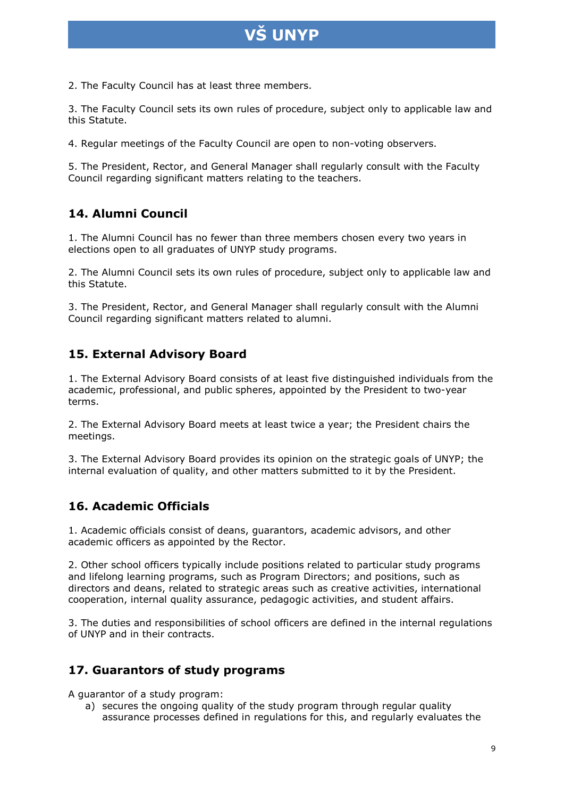2. The Faculty Council has at least three members.

3. The Faculty Council sets its own rules of procedure, subject only to applicable law and this Statute.

4. Regular meetings of the Faculty Council are open to non-voting observers.

5. The President, Rector, and General Manager shall regularly consult with the Faculty Council regarding significant matters relating to the teachers.

## **14. Alumni Council**

1. The Alumni Council has no fewer than three members chosen every two years in elections open to all graduates of UNYP study programs.

2. The Alumni Council sets its own rules of procedure, subject only to applicable law and this Statute.

3. The President, Rector, and General Manager shall regularly consult with the Alumni Council regarding significant matters related to alumni.

## **15. External Advisory Board**

1. The External Advisory Board consists of at least five distinguished individuals from the academic, professional, and public spheres, appointed by the President to two-year terms.

2. The External Advisory Board meets at least twice a year; the President chairs the meetings.

3. The External Advisory Board provides its opinion on the strategic goals of UNYP; the internal evaluation of quality, and other matters submitted to it by the President.

### **16. Academic Officials**

1. Academic officials consist of deans, guarantors, academic advisors, and other academic officers as appointed by the Rector.

2. Other school officers typically include positions related to particular study programs and lifelong learning programs, such as Program Directors; and positions, such as directors and deans, related to strategic areas such as creative activities, international cooperation, internal quality assurance, pedagogic activities, and student affairs.

3. The duties and responsibilities of school officers are defined in the internal regulations of UNYP and in their contracts.

### **17. Guarantors of study programs**

A guarantor of a study program:

a) secures the ongoing quality of the study program through regular quality assurance processes defined in regulations for this, and regularly evaluates the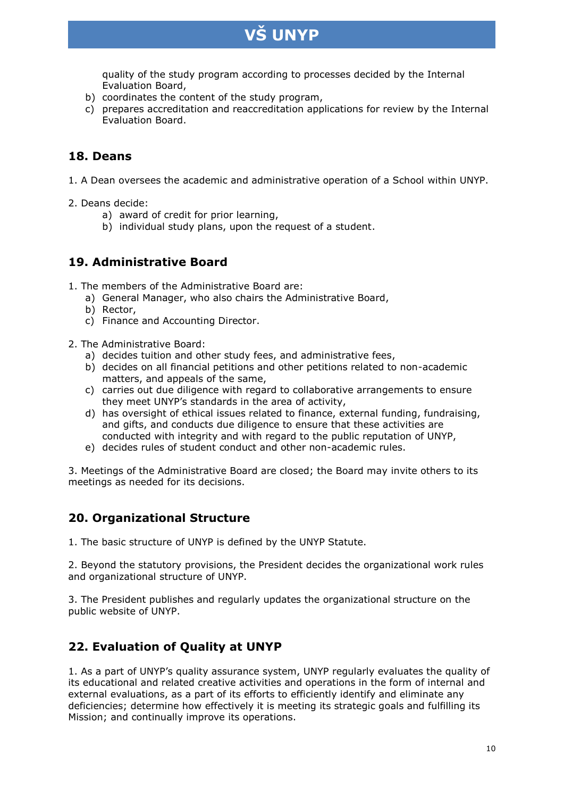

quality of the study program according to processes decided by the Internal Evaluation Board,

- b) coordinates the content of the study program,
- c) prepares accreditation and reaccreditation applications for review by the Internal Evaluation Board.

### **18. Deans**

- 1. A Dean oversees the academic and administrative operation of a School within UNYP.
- 2. Deans decide:
	- a) award of credit for prior learning,
	- b) individual study plans, upon the request of a student.

### **19. Administrative Board**

1. The members of the Administrative Board are:

- a) General Manager, who also chairs the Administrative Board,
- b) Rector,
- c) Finance and Accounting Director.
- 2. The Administrative Board:
	- a) decides tuition and other study fees, and administrative fees,
	- b) decides on all financial petitions and other petitions related to non-academic matters, and appeals of the same,
	- c) carries out due diligence with regard to collaborative arrangements to ensure they meet UNYP's standards in the area of activity,
	- d) has oversight of ethical issues related to finance, external funding, fundraising, and gifts, and conducts due diligence to ensure that these activities are conducted with integrity and with regard to the public reputation of UNYP,
	- e) decides rules of student conduct and other non-academic rules.

3. Meetings of the Administrative Board are closed; the Board may invite others to its meetings as needed for its decisions.

### **20. Organizational Structure**

1. The basic structure of UNYP is defined by the UNYP Statute.

2. Beyond the statutory provisions, the President decides the organizational work rules and organizational structure of UNYP.

3. The President publishes and regularly updates the organizational structure on the public website of UNYP.

### **22. Evaluation of Quality at UNYP**

1. As a part of UNYP's quality assurance system, UNYP regularly evaluates the quality of its educational and related creative activities and operations in the form of internal and external evaluations, as a part of its efforts to efficiently identify and eliminate any deficiencies; determine how effectively it is meeting its strategic goals and fulfilling its Mission; and continually improve its operations.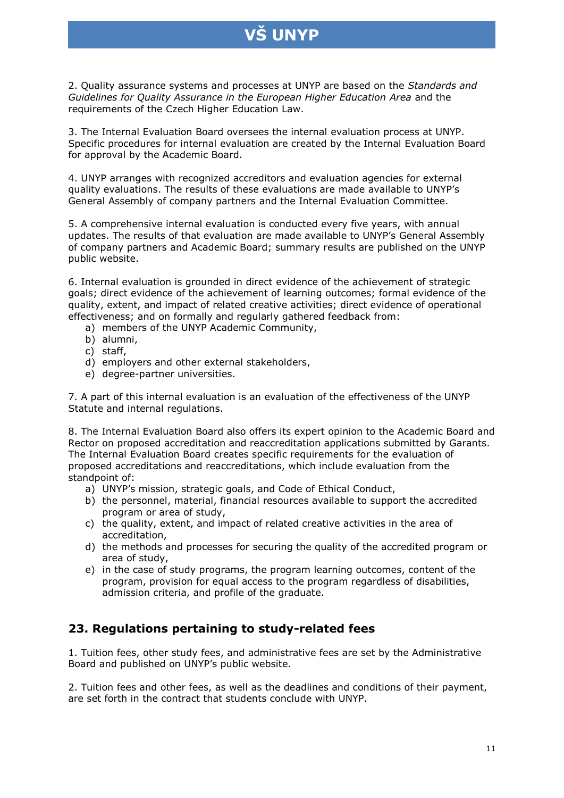2. Quality assurance systems and processes at UNYP are based on the *Standards and Guidelines for Quality Assurance in the European Higher Education Area* and the requirements of the Czech Higher Education Law.

3. The Internal Evaluation Board oversees the internal evaluation process at UNYP. Specific procedures for internal evaluation are created by the Internal Evaluation Board for approval by the Academic Board.

4. UNYP arranges with recognized accreditors and evaluation agencies for external quality evaluations. The results of these evaluations are made available to UNYP's General Assembly of company partners and the Internal Evaluation Committee.

5. A comprehensive internal evaluation is conducted every five years, with annual updates. The results of that evaluation are made available to UNYP's General Assembly of company partners and Academic Board; summary results are published on the UNYP public website.

6. Internal evaluation is grounded in direct evidence of the achievement of strategic goals; direct evidence of the achievement of learning outcomes; formal evidence of the quality, extent, and impact of related creative activities; direct evidence of operational effectiveness; and on formally and regularly gathered feedback from:

- a) members of the UNYP Academic Community,
- b) alumni,
- c) staff,
- d) employers and other external stakeholders,
- e) degree-partner universities.

7. A part of this internal evaluation is an evaluation of the effectiveness of the UNYP Statute and internal regulations.

8. The Internal Evaluation Board also offers its expert opinion to the Academic Board and Rector on proposed accreditation and reaccreditation applications submitted by Garants. The Internal Evaluation Board creates specific requirements for the evaluation of proposed accreditations and reaccreditations, which include evaluation from the standpoint of:

- a) UNYP's mission, strategic goals, and Code of Ethical Conduct,
- b) the personnel, material, financial resources available to support the accredited program or area of study,
- c) the quality, extent, and impact of related creative activities in the area of accreditation,
- d) the methods and processes for securing the quality of the accredited program or area of study,
- e) in the case of study programs, the program learning outcomes, content of the program, provision for equal access to the program regardless of disabilities, admission criteria, and profile of the graduate.

### **23. Regulations pertaining to study-related fees**

1. Tuition fees, other study fees, and administrative fees are set by the Administrative Board and published on UNYP's public website.

2. Tuition fees and other fees, as well as the deadlines and conditions of their payment, are set forth in the contract that students conclude with UNYP.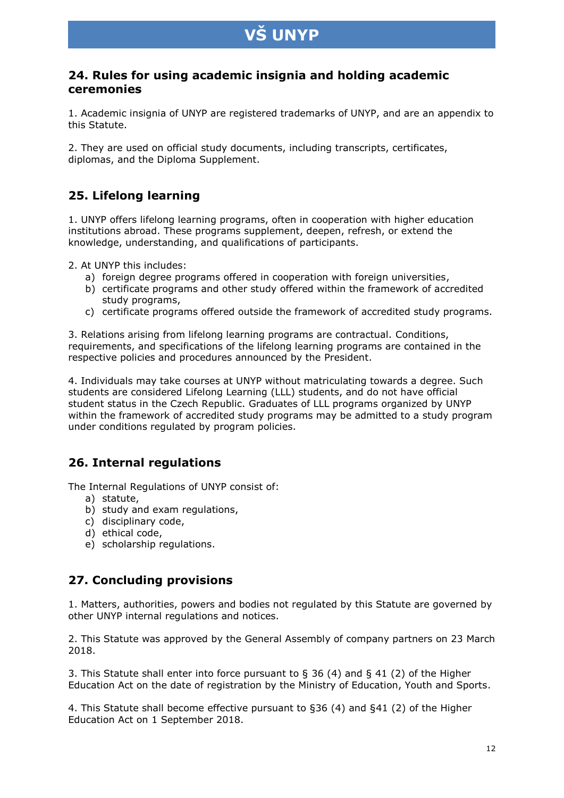### **24. Rules for using academic insignia and holding academic ceremonies**

1. Academic insignia of UNYP are registered trademarks of UNYP, and are an appendix to this Statute.

2. They are used on official study documents, including transcripts, certificates, diplomas, and the Diploma Supplement.

## **25. Lifelong learning**

1. UNYP offers lifelong learning programs, often in cooperation with higher education institutions abroad. These programs supplement, deepen, refresh, or extend the knowledge, understanding, and qualifications of participants.

2. At UNYP this includes:

- a) foreign degree programs offered in cooperation with foreign universities,
- b) certificate programs and other study offered within the framework of accredited study programs,
- c) certificate programs offered outside the framework of accredited study programs.

3. Relations arising from lifelong learning programs are contractual. Conditions, requirements, and specifications of the lifelong learning programs are contained in the respective policies and procedures announced by the President.

4. Individuals may take courses at UNYP without matriculating towards a degree. Such students are considered Lifelong Learning (LLL) students, and do not have official student status in the Czech Republic. Graduates of LLL programs organized by UNYP within the framework of accredited study programs may be admitted to a study program under conditions regulated by program policies.

# **26. Internal regulations**

The Internal Regulations of UNYP consist of:

- a) statute,
- b) study and exam regulations,
- c) disciplinary code,
- d) ethical code,
- e) scholarship regulations.

### **27. Concluding provisions**

1. Matters, authorities, powers and bodies not regulated by this Statute are governed by other UNYP internal regulations and notices.

2. This Statute was approved by the General Assembly of company partners on 23 March 2018.

3. This Statute shall enter into force pursuant to  $\S$  36 (4) and  $\S$  41 (2) of the Higher Education Act on the date of registration by the Ministry of Education, Youth and Sports.

4. This Statute shall become effective pursuant to §36 (4) and §41 (2) of the Higher Education Act on 1 September 2018.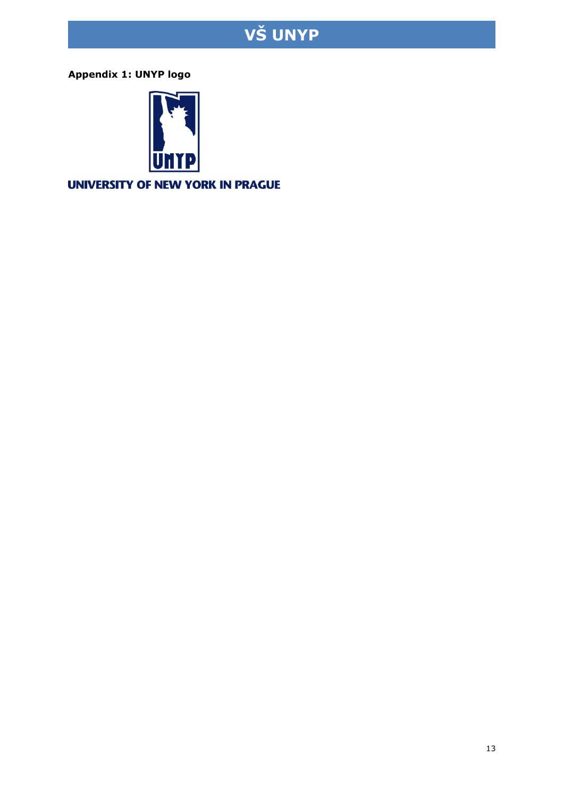**Appendix 1: UNYP logo**



UNIVERSITY OF NEW YORK IN PRAGUE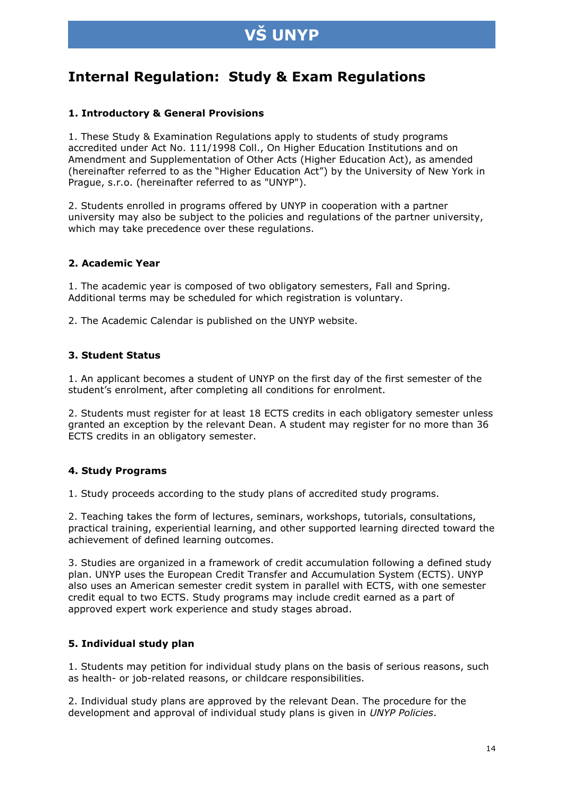# **Internal Regulation: Study & Exam Regulations**

#### **1. Introductory & General Provisions**

1. These Study & Examination Regulations apply to students of study programs accredited under Act No. 111/1998 Coll., On Higher Education Institutions and on Amendment and Supplementation of Other Acts (Higher Education Act), as amended (hereinafter referred to as the "Higher Education Act") by the University of New York in Prague, s.r.o. (hereinafter referred to as "UNYP").

2. Students enrolled in programs offered by UNYP in cooperation with a partner university may also be subject to the policies and regulations of the partner university, which may take precedence over these regulations.

#### **2. Academic Year**

1. The academic year is composed of two obligatory semesters, Fall and Spring. Additional terms may be scheduled for which registration is voluntary.

2. The Academic Calendar is published on the UNYP website.

#### **3. Student Status**

1. An applicant becomes a student of UNYP on the first day of the first semester of the student's enrolment, after completing all conditions for enrolment.

2. Students must register for at least 18 ECTS credits in each obligatory semester unless granted an exception by the relevant Dean. A student may register for no more than 36 ECTS credits in an obligatory semester.

#### **4. Study Programs**

1. Study proceeds according to the study plans of accredited study programs.

2. Teaching takes the form of lectures, seminars, workshops, tutorials, consultations, practical training, experiential learning, and other supported learning directed toward the achievement of defined learning outcomes.

3. Studies are organized in a framework of credit accumulation following a defined study plan. UNYP uses the European Credit Transfer and Accumulation System (ECTS). UNYP also uses an American semester credit system in parallel with ECTS, with one semester credit equal to two ECTS. Study programs may include credit earned as a part of approved expert work experience and study stages abroad.

#### **5. Individual study plan**

1. Students may petition for individual study plans on the basis of serious reasons, such as health- or job-related reasons, or childcare responsibilities.

2. Individual study plans are approved by the relevant Dean. The procedure for the development and approval of individual study plans is given in *UNYP Policies*.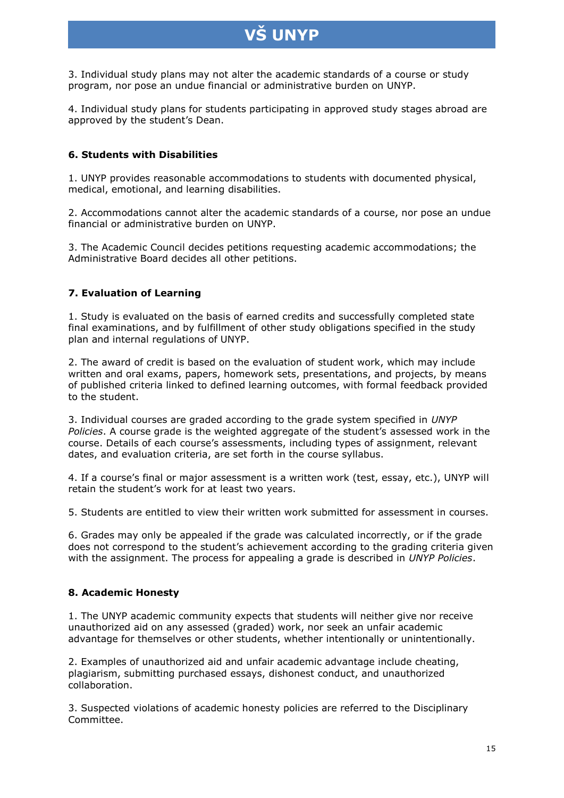3. Individual study plans may not alter the academic standards of a course or study program, nor pose an undue financial or administrative burden on UNYP.

4. Individual study plans for students participating in approved study stages abroad are approved by the student's Dean.

#### **6. Students with Disabilities**

1. UNYP provides reasonable accommodations to students with documented physical, medical, emotional, and learning disabilities.

2. Accommodations cannot alter the academic standards of a course, nor pose an undue financial or administrative burden on UNYP.

3. The Academic Council decides petitions requesting academic accommodations; the Administrative Board decides all other petitions.

#### **7. Evaluation of Learning**

1. Study is evaluated on the basis of earned credits and successfully completed state final examinations, and by fulfillment of other study obligations specified in the study plan and internal regulations of UNYP.

2. The award of credit is based on the evaluation of student work, which may include written and oral exams, papers, homework sets, presentations, and projects, by means of published criteria linked to defined learning outcomes, with formal feedback provided to the student.

3. Individual courses are graded according to the grade system specified in *UNYP Policies*. A course grade is the weighted aggregate of the student's assessed work in the course. Details of each course's assessments, including types of assignment, relevant dates, and evaluation criteria, are set forth in the course syllabus.

4. If a course's final or major assessment is a written work (test, essay, etc.), UNYP will retain the student's work for at least two years.

5. Students are entitled to view their written work submitted for assessment in courses.

6. Grades may only be appealed if the grade was calculated incorrectly, or if the grade does not correspond to the student's achievement according to the grading criteria given with the assignment. The process for appealing a grade is described in *UNYP Policies*.

#### **8. Academic Honesty**

1. The UNYP academic community expects that students will neither give nor receive unauthorized aid on any assessed (graded) work, nor seek an unfair academic advantage for themselves or other students, whether intentionally or unintentionally.

2. Examples of unauthorized aid and unfair academic advantage include cheating, plagiarism, submitting purchased essays, dishonest conduct, and unauthorized collaboration.

3. Suspected violations of academic honesty policies are referred to the Disciplinary Committee.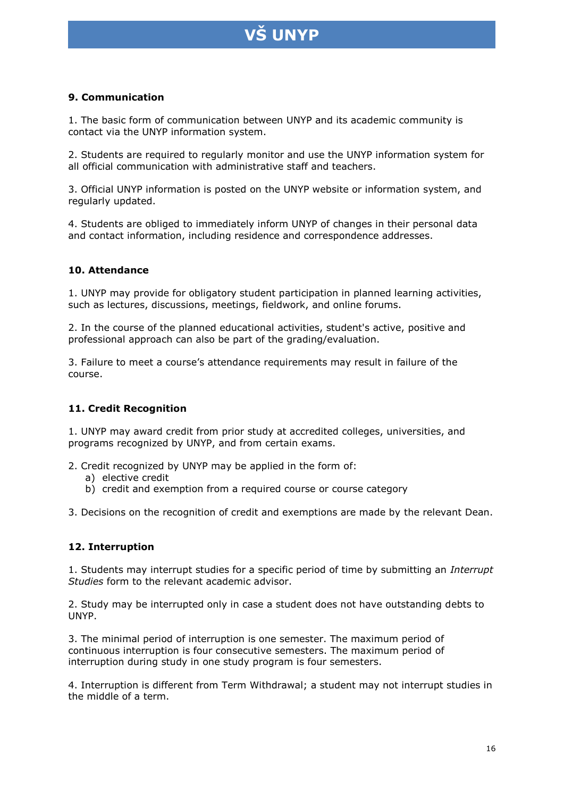

#### **9. Communication**

1. The basic form of communication between UNYP and its academic community is contact via the UNYP information system.

2. Students are required to regularly monitor and use the UNYP information system for all official communication with administrative staff and teachers.

3. Official UNYP information is posted on the UNYP website or information system, and regularly updated.

4. Students are obliged to immediately inform UNYP of changes in their personal data and contact information, including residence and correspondence addresses.

#### **10. Attendance**

1. UNYP may provide for obligatory student participation in planned learning activities, such as lectures, discussions, meetings, fieldwork, and online forums.

2. In the course of the planned educational activities, student's active, positive and professional approach can also be part of the grading/evaluation.

3. Failure to meet a course's attendance requirements may result in failure of the course.

#### **11. Credit Recognition**

1. UNYP may award credit from prior study at accredited colleges, universities, and programs recognized by UNYP, and from certain exams.

2. Credit recognized by UNYP may be applied in the form of:

- a) elective credit
- b) credit and exemption from a required course or course category

3. Decisions on the recognition of credit and exemptions are made by the relevant Dean.

#### **12. Interruption**

1. Students may interrupt studies for a specific period of time by submitting an *Interrupt Studies* form to the relevant academic advisor.

2. Study may be interrupted only in case a student does not have outstanding debts to UNYP.

3. The minimal period of interruption is one semester. The maximum period of continuous interruption is four consecutive semesters. The maximum period of interruption during study in one study program is four semesters.

4. Interruption is different from Term Withdrawal; a student may not interrupt studies in the middle of a term.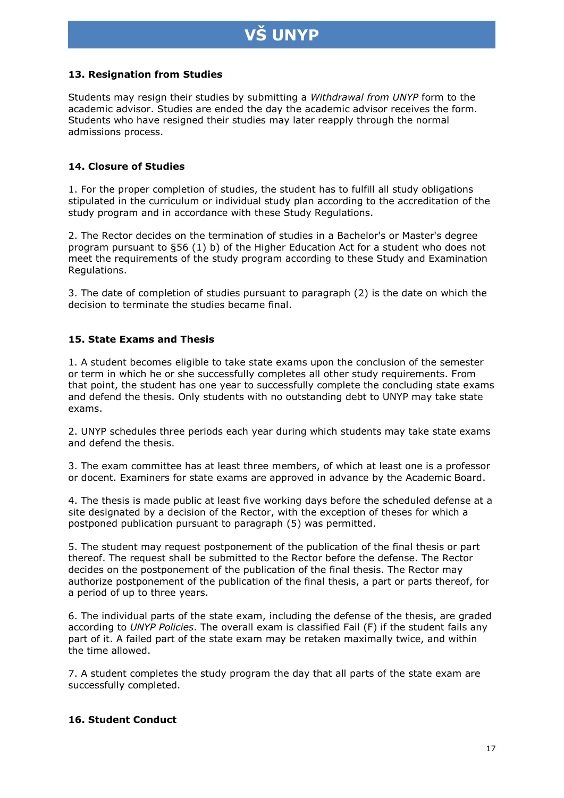# **UNYP**

#### **13. Resignation from Studies**

Students may resign their studies by submitting a *Withdrawal from UNYP* form to the academic advisor. Studies are ended the day the academic advisor receives the form. Students who have resigned their studies may later reapply through the normal admissions process.

#### **14. Closure of Studies**

1. For the proper completion of studies, the student has to fulfill all study obligations stipulated in the curriculum or individual study plan according to the accreditation of the study program and in accordance with these Study Regulations.

2. The Rector decides on the termination of studies in a Bachelor's or Master's degree program pursuant to §56 (1) b) of the Higher Education Act for a student who does not meet the requirements of the study program according to these Study and Examination Regulations.

3. The date of completion of studies pursuant to paragraph (2) is the date on which the decision to terminate the studies became final.

#### **15. State Exams and Thesis**

1. A student becomes eligible to take state exams upon the conclusion of the semester or term in which he or she successfully completes all other study requirements. From that point, the student has one year to successfully complete the concluding state exams and defend the thesis. Only students with no outstanding debt to UNYP may take state exams.

2. UNYP schedules three periods each year during which students may take state exams and defend the thesis.

3. The exam committee has at least three members, of which at least one is a professor or docent. Examiners for state exams are approved in advance by the Academic Board.

4. The thesis is made public at least five working days before the scheduled defense at a site designated by a decision of the Rector, with the exception of theses for which a postponed publication pursuant to paragraph (5) was permitted.

5. The student may request postponement of the publication of the final thesis or part thereof. The request shall be submitted to the Rector before the defense. The Rector decides on the postponement of the publication of the final thesis. The Rector may authorize postponement of the publication of the final thesis, a part or parts thereof, for a period of up to three years.

6. The individual parts of the state exam, including the defense of the thesis, are graded according to *UNYP Policies*. The overall exam is classified Fail (F) if the student fails any part of it. A failed part of the state exam may be retaken maximally twice, and within the time allowed.

7. A student completes the study program the day that all parts of the state exam are successfully completed.

#### **16. Student Conduct**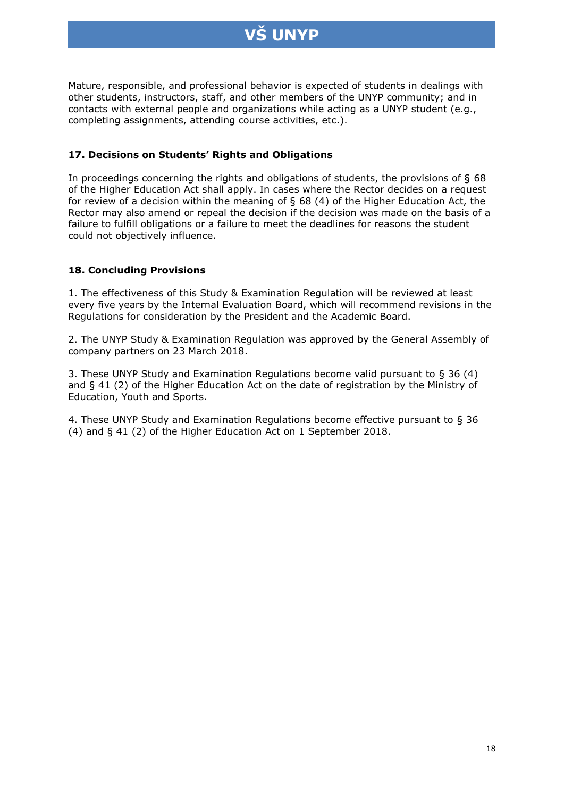

Mature, responsible, and professional behavior is expected of students in dealings with other students, instructors, staff, and other members of the UNYP community; and in contacts with external people and organizations while acting as a UNYP student (e.g., completing assignments, attending course activities, etc.).

#### **17. Decisions on Students' Rights and Obligations**

In proceedings concerning the rights and obligations of students, the provisions of § 68 of the Higher Education Act shall apply. In cases where the Rector decides on a request for review of a decision within the meaning of § 68 (4) of the Higher Education Act, the Rector may also amend or repeal the decision if the decision was made on the basis of a failure to fulfill obligations or a failure to meet the deadlines for reasons the student could not objectively influence.

#### **18. Concluding Provisions**

1. The effectiveness of this Study & Examination Regulation will be reviewed at least every five years by the Internal Evaluation Board, which will recommend revisions in the Regulations for consideration by the President and the Academic Board.

2. The UNYP Study & Examination Regulation was approved by the General Assembly of company partners on 23 March 2018.

3. These UNYP Study and Examination Regulations become valid pursuant to § 36 (4) and § 41 (2) of the Higher Education Act on the date of registration by the Ministry of Education, Youth and Sports.

4. These UNYP Study and Examination Regulations become effective pursuant to § 36 (4) and § 41 (2) of the Higher Education Act on 1 September 2018.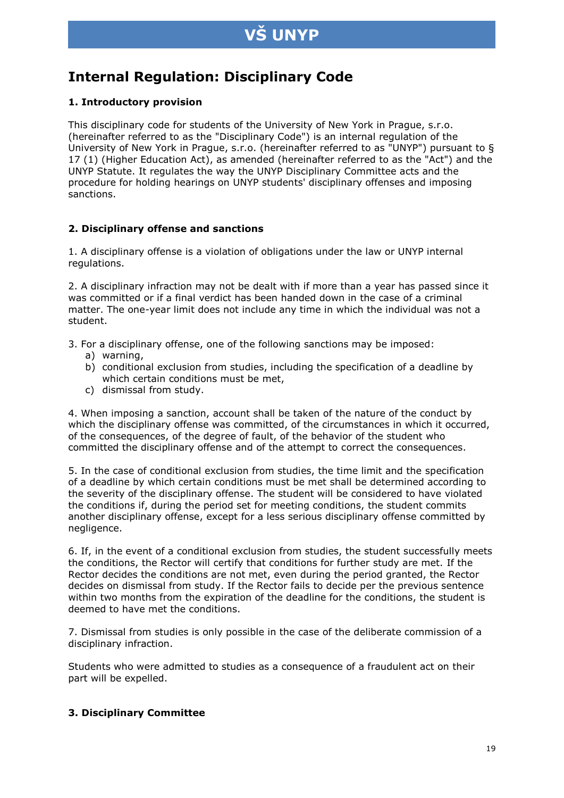# **VS UNYP**

# **Internal Regulation: Disciplinary Code**

#### **1. Introductory provision**

This disciplinary code for students of the University of New York in Prague, s.r.o. (hereinafter referred to as the "Disciplinary Code") is an internal regulation of the University of New York in Prague, s.r.o. (hereinafter referred to as "UNYP") pursuant to § 17 (1) (Higher Education Act), as amended (hereinafter referred to as the "Act") and the UNYP Statute. It regulates the way the UNYP Disciplinary Committee acts and the procedure for holding hearings on UNYP students' disciplinary offenses and imposing sanctions.

#### **2. Disciplinary offense and sanctions**

1. A disciplinary offense is a violation of obligations under the law or UNYP internal regulations.

2. A disciplinary infraction may not be dealt with if more than a year has passed since it was committed or if a final verdict has been handed down in the case of a criminal matter. The one-year limit does not include any time in which the individual was not a student.

3. For a disciplinary offense, one of the following sanctions may be imposed:

- a) warning,
- b) conditional exclusion from studies, including the specification of a deadline by which certain conditions must be met,
- c) dismissal from study.

4. When imposing a sanction, account shall be taken of the nature of the conduct by which the disciplinary offense was committed, of the circumstances in which it occurred, of the consequences, of the degree of fault, of the behavior of the student who committed the disciplinary offense and of the attempt to correct the consequences.

5. In the case of conditional exclusion from studies, the time limit and the specification of a deadline by which certain conditions must be met shall be determined according to the severity of the disciplinary offense. The student will be considered to have violated the conditions if, during the period set for meeting conditions, the student commits another disciplinary offense, except for a less serious disciplinary offense committed by negligence.

6. If, in the event of a conditional exclusion from studies, the student successfully meets the conditions, the Rector will certify that conditions for further study are met. If the Rector decides the conditions are not met, even during the period granted, the Rector decides on dismissal from study. If the Rector fails to decide per the previous sentence within two months from the expiration of the deadline for the conditions, the student is deemed to have met the conditions.

7. Dismissal from studies is only possible in the case of the deliberate commission of a disciplinary infraction.

Students who were admitted to studies as a consequence of a fraudulent act on their part will be expelled.

#### **3. Disciplinary Committee**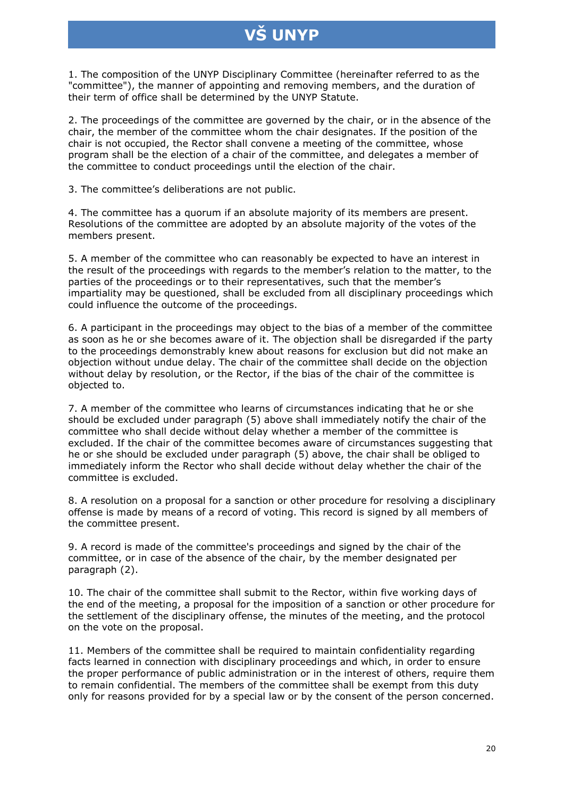# **UNYP**

1. The composition of the UNYP Disciplinary Committee (hereinafter referred to as the "committee"), the manner of appointing and removing members, and the duration of their term of office shall be determined by the UNYP Statute.

2. The proceedings of the committee are governed by the chair, or in the absence of the chair, the member of the committee whom the chair designates. If the position of the chair is not occupied, the Rector shall convene a meeting of the committee, whose program shall be the election of a chair of the committee, and delegates a member of the committee to conduct proceedings until the election of the chair.

3. The committee's deliberations are not public.

4. The committee has a quorum if an absolute majority of its members are present. Resolutions of the committee are adopted by an absolute majority of the votes of the members present.

5. A member of the committee who can reasonably be expected to have an interest in the result of the proceedings with regards to the member's relation to the matter, to the parties of the proceedings or to their representatives, such that the member's impartiality may be questioned, shall be excluded from all disciplinary proceedings which could influence the outcome of the proceedings.

6. A participant in the proceedings may object to the bias of a member of the committee as soon as he or she becomes aware of it. The objection shall be disregarded if the party to the proceedings demonstrably knew about reasons for exclusion but did not make an objection without undue delay. The chair of the committee shall decide on the objection without delay by resolution, or the Rector, if the bias of the chair of the committee is objected to.

7. A member of the committee who learns of circumstances indicating that he or she should be excluded under paragraph (5) above shall immediately notify the chair of the committee who shall decide without delay whether a member of the committee is excluded. If the chair of the committee becomes aware of circumstances suggesting that he or she should be excluded under paragraph (5) above, the chair shall be obliged to immediately inform the Rector who shall decide without delay whether the chair of the committee is excluded.

8. A resolution on a proposal for a sanction or other procedure for resolving a disciplinary offense is made by means of a record of voting. This record is signed by all members of the committee present.

9. A record is made of the committee's proceedings and signed by the chair of the committee, or in case of the absence of the chair, by the member designated per paragraph (2).

10. The chair of the committee shall submit to the Rector, within five working days of the end of the meeting, a proposal for the imposition of a sanction or other procedure for the settlement of the disciplinary offense, the minutes of the meeting, and the protocol on the vote on the proposal.

11. Members of the committee shall be required to maintain confidentiality regarding facts learned in connection with disciplinary proceedings and which, in order to ensure the proper performance of public administration or in the interest of others, require them to remain confidential. The members of the committee shall be exempt from this duty only for reasons provided for by a special law or by the consent of the person concerned.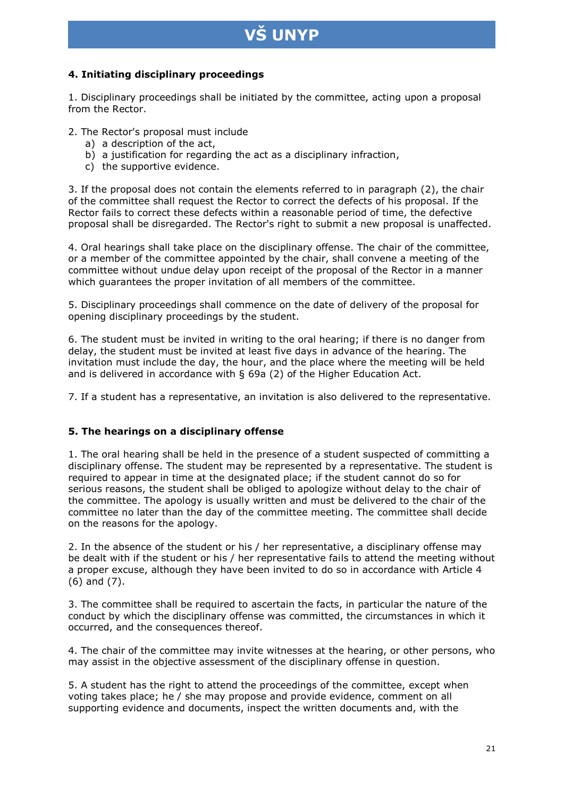# **UNYP**

#### **4. Initiating disciplinary proceedings**

1. Disciplinary proceedings shall be initiated by the committee, acting upon a proposal from the Rector.

2. The Rector's proposal must include

- a) a description of the act,
- b) a justification for regarding the act as a disciplinary infraction,
- c) the supportive evidence.

3. If the proposal does not contain the elements referred to in paragraph (2), the chair of the committee shall request the Rector to correct the defects of his proposal. If the Rector fails to correct these defects within a reasonable period of time, the defective proposal shall be disregarded. The Rector's right to submit a new proposal is unaffected.

4. Oral hearings shall take place on the disciplinary offense. The chair of the committee, or a member of the committee appointed by the chair, shall convene a meeting of the committee without undue delay upon receipt of the proposal of the Rector in a manner which guarantees the proper invitation of all members of the committee.

5. Disciplinary proceedings shall commence on the date of delivery of the proposal for opening disciplinary proceedings by the student.

6. The student must be invited in writing to the oral hearing; if there is no danger from delay, the student must be invited at least five days in advance of the hearing. The invitation must include the day, the hour, and the place where the meeting will be held and is delivered in accordance with § 69a (2) of the Higher Education Act.

7. If a student has a representative, an invitation is also delivered to the representative.

#### **5. The hearings on a disciplinary offense**

1. The oral hearing shall be held in the presence of a student suspected of committing a disciplinary offense. The student may be represented by a representative. The student is required to appear in time at the designated place; if the student cannot do so for serious reasons, the student shall be obliged to apologize without delay to the chair of the committee. The apology is usually written and must be delivered to the chair of the committee no later than the day of the committee meeting. The committee shall decide on the reasons for the apology.

2. In the absence of the student or his / her representative, a disciplinary offense may be dealt with if the student or his / her representative fails to attend the meeting without a proper excuse, although they have been invited to do so in accordance with Article 4 (6) and (7).

3. The committee shall be required to ascertain the facts, in particular the nature of the conduct by which the disciplinary offense was committed, the circumstances in which it occurred, and the consequences thereof.

4. The chair of the committee may invite witnesses at the hearing, or other persons, who may assist in the objective assessment of the disciplinary offense in question.

5. A student has the right to attend the proceedings of the committee, except when voting takes place; he / she may propose and provide evidence, comment on all supporting evidence and documents, inspect the written documents and, with the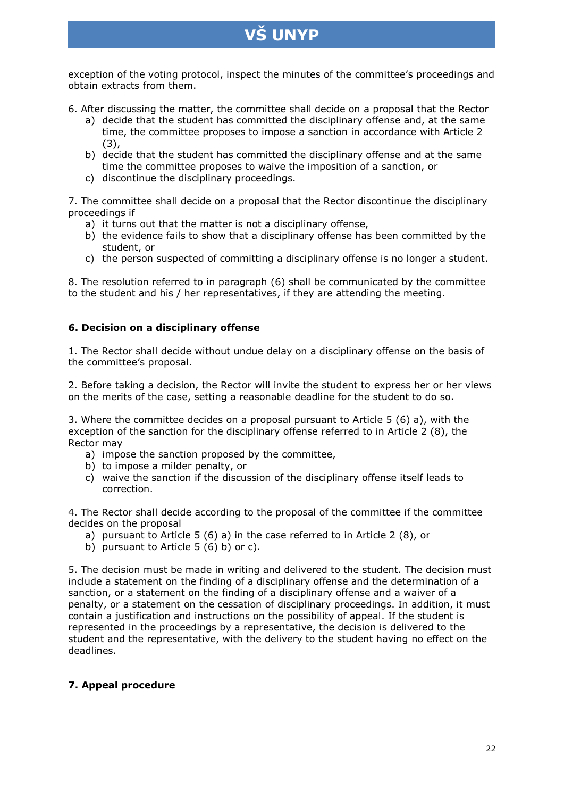exception of the voting protocol, inspect the minutes of the committee's proceedings and obtain extracts from them.

6. After discussing the matter, the committee shall decide on a proposal that the Rector

- a) decide that the student has committed the disciplinary offense and, at the same time, the committee proposes to impose a sanction in accordance with Article 2 (3),
- b) decide that the student has committed the disciplinary offense and at the same time the committee proposes to waive the imposition of a sanction, or
- c) discontinue the disciplinary proceedings.

7. The committee shall decide on a proposal that the Rector discontinue the disciplinary proceedings if

- a) it turns out that the matter is not a disciplinary offense,
- b) the evidence fails to show that a disciplinary offense has been committed by the student, or
- c) the person suspected of committing a disciplinary offense is no longer a student.

8. The resolution referred to in paragraph (6) shall be communicated by the committee to the student and his / her representatives, if they are attending the meeting.

#### **6. Decision on a disciplinary offense**

1. The Rector shall decide without undue delay on a disciplinary offense on the basis of the committee's proposal.

2. Before taking a decision, the Rector will invite the student to express her or her views on the merits of the case, setting a reasonable deadline for the student to do so.

3. Where the committee decides on a proposal pursuant to Article 5 (6) a), with the exception of the sanction for the disciplinary offense referred to in Article 2 (8), the Rector may

- a) impose the sanction proposed by the committee,
- b) to impose a milder penalty, or
- c) waive the sanction if the discussion of the disciplinary offense itself leads to correction.

4. The Rector shall decide according to the proposal of the committee if the committee decides on the proposal

- a) pursuant to Article 5 (6) a) in the case referred to in Article 2 (8), or
- b) pursuant to Article  $5(6)$  b) or c).

5. The decision must be made in writing and delivered to the student. The decision must include a statement on the finding of a disciplinary offense and the determination of a sanction, or a statement on the finding of a disciplinary offense and a waiver of a penalty, or a statement on the cessation of disciplinary proceedings. In addition, it must contain a justification and instructions on the possibility of appeal. If the student is represented in the proceedings by a representative, the decision is delivered to the student and the representative, with the delivery to the student having no effect on the deadlines.

#### **7. Appeal procedure**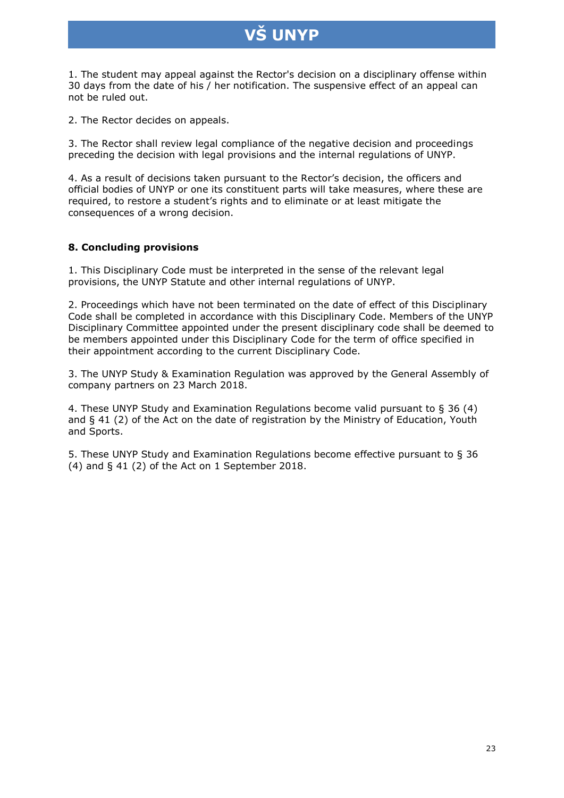1. The student may appeal against the Rector's decision on a disciplinary offense within 30 days from the date of his / her notification. The suspensive effect of an appeal can not be ruled out.

2. The Rector decides on appeals.

3. The Rector shall review legal compliance of the negative decision and proceedings preceding the decision with legal provisions and the internal regulations of UNYP.

4. As a result of decisions taken pursuant to the Rector's decision, the officers and official bodies of UNYP or one its constituent parts will take measures, where these are required, to restore a student's rights and to eliminate or at least mitigate the consequences of a wrong decision.

#### **8. Concluding provisions**

1. This Disciplinary Code must be interpreted in the sense of the relevant legal provisions, the UNYP Statute and other internal regulations of UNYP.

2. Proceedings which have not been terminated on the date of effect of this Disciplinary Code shall be completed in accordance with this Disciplinary Code. Members of the UNYP Disciplinary Committee appointed under the present disciplinary code shall be deemed to be members appointed under this Disciplinary Code for the term of office specified in their appointment according to the current Disciplinary Code.

3. The UNYP Study & Examination Regulation was approved by the General Assembly of company partners on 23 March 2018.

4. These UNYP Study and Examination Regulations become valid pursuant to § 36 (4) and § 41 (2) of the Act on the date of registration by the Ministry of Education, Youth and Sports.

5. These UNYP Study and Examination Regulations become effective pursuant to § 36  $(4)$  and  $\S$  41  $(2)$  of the Act on 1 September 2018.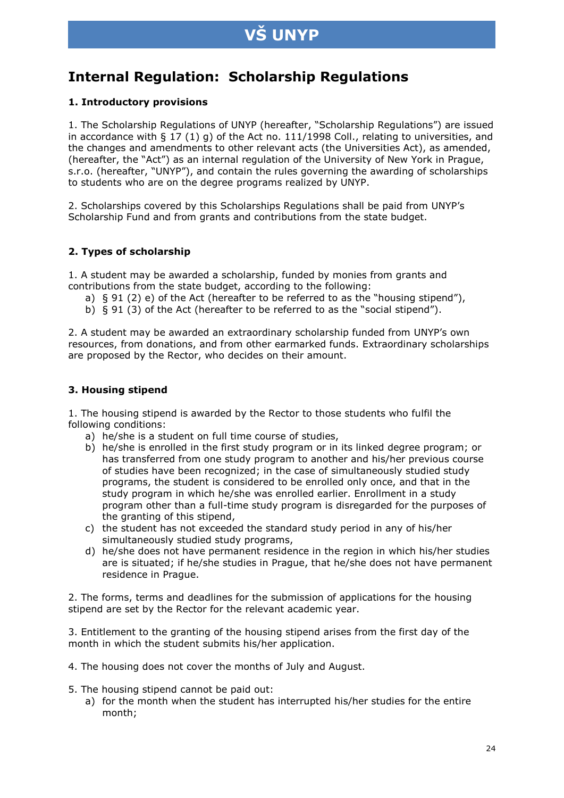# **Internal Regulation: Scholarship Regulations**

#### **1. Introductory provisions**

1. The Scholarship Regulations of UNYP (hereafter, "Scholarship Regulations") are issued in accordance with §  $17$  (1) g) of the Act no. 111/1998 Coll., relating to universities, and the changes and amendments to other relevant acts (the Universities Act), as amended, (hereafter, the "Act") as an internal regulation of the University of New York in Prague, s.r.o. (hereafter, "UNYP"), and contain the rules governing the awarding of scholarships to students who are on the degree programs realized by UNYP.

2. Scholarships covered by this Scholarships Regulations shall be paid from UNYP's Scholarship Fund and from grants and contributions from the state budget.

#### **2. Types of scholarship**

1. A student may be awarded a scholarship, funded by monies from grants and contributions from the state budget, according to the following:

- a) § 91 (2) e) of the Act (hereafter to be referred to as the "housing stipend"),
- b) § 91 (3) of the Act (hereafter to be referred to as the "social stipend").

2. A student may be awarded an extraordinary scholarship funded from UNYP's own resources, from donations, and from other earmarked funds. Extraordinary scholarships are proposed by the Rector, who decides on their amount.

#### **3. Housing stipend**

1. The housing stipend is awarded by the Rector to those students who fulfil the following conditions:

- a) he/she is a student on full time course of studies,
- b) he/she is enrolled in the first study program or in its linked degree program; or has transferred from one study program to another and his/her previous course of studies have been recognized; in the case of simultaneously studied study programs, the student is considered to be enrolled only once, and that in the study program in which he/she was enrolled earlier. Enrollment in a study program other than a full-time study program is disregarded for the purposes of the granting of this stipend,
- c) the student has not exceeded the standard study period in any of his/her simultaneously studied study programs,
- d) he/she does not have permanent residence in the region in which his/her studies are is situated; if he/she studies in Prague, that he/she does not have permanent residence in Prague.

2. The forms, terms and deadlines for the submission of applications for the housing stipend are set by the Rector for the relevant academic year.

3. Entitlement to the granting of the housing stipend arises from the first day of the month in which the student submits his/her application.

- 4. The housing does not cover the months of July and August.
- 5. The housing stipend cannot be paid out:
	- a) for the month when the student has interrupted his/her studies for the entire month;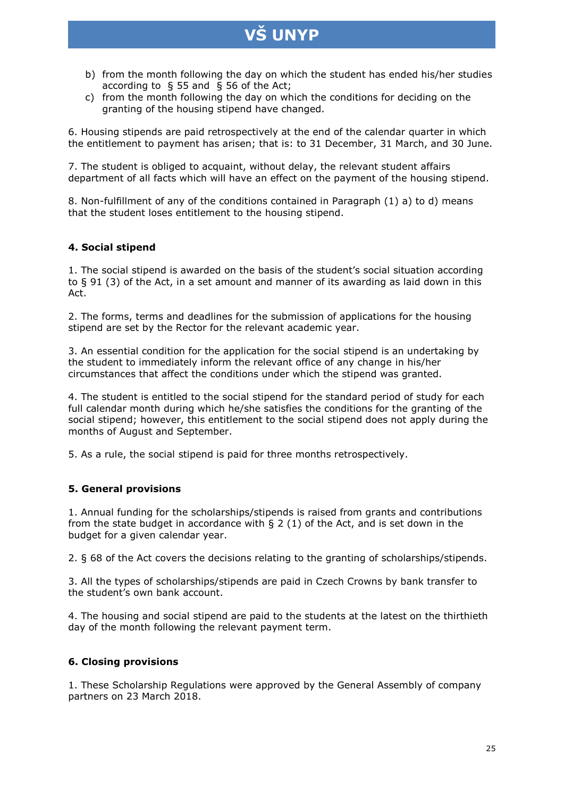- b) from the month following the day on which the student has ended his/her studies according to § 55 and § 56 of the Act;
- c) from the month following the day on which the conditions for deciding on the granting of the housing stipend have changed.

6. Housing stipends are paid retrospectively at the end of the calendar quarter in which the entitlement to payment has arisen; that is: to 31 December, 31 March, and 30 June.

7. The student is obliged to acquaint, without delay, the relevant student affairs department of all facts which will have an effect on the payment of the housing stipend.

8. Non-fulfillment of any of the conditions contained in Paragraph (1) a) to d) means that the student loses entitlement to the housing stipend.

#### **4. Social stipend**

1. The social stipend is awarded on the basis of the student's social situation according to § 91 (3) of the Act, in a set amount and manner of its awarding as laid down in this Act.

2. The forms, terms and deadlines for the submission of applications for the housing stipend are set by the Rector for the relevant academic year.

3. An essential condition for the application for the social stipend is an undertaking by the student to immediately inform the relevant office of any change in his/her circumstances that affect the conditions under which the stipend was granted.

4. The student is entitled to the social stipend for the standard period of study for each full calendar month during which he/she satisfies the conditions for the granting of the social stipend; however, this entitlement to the social stipend does not apply during the months of August and September.

5. As a rule, the social stipend is paid for three months retrospectively.

#### **5. General provisions**

1. Annual funding for the scholarships/stipends is raised from grants and contributions from the state budget in accordance with  $\S$  2 (1) of the Act, and is set down in the budget for a given calendar year.

2. § 68 of the Act covers the decisions relating to the granting of scholarships/stipends.

3. All the types of scholarships/stipends are paid in Czech Crowns by bank transfer to the student's own bank account.

4. The housing and social stipend are paid to the students at the latest on the thirthieth day of the month following the relevant payment term.

#### **6. Closing provisions**

1. These Scholarship Regulations were approved by the General Assembly of company partners on 23 March 2018.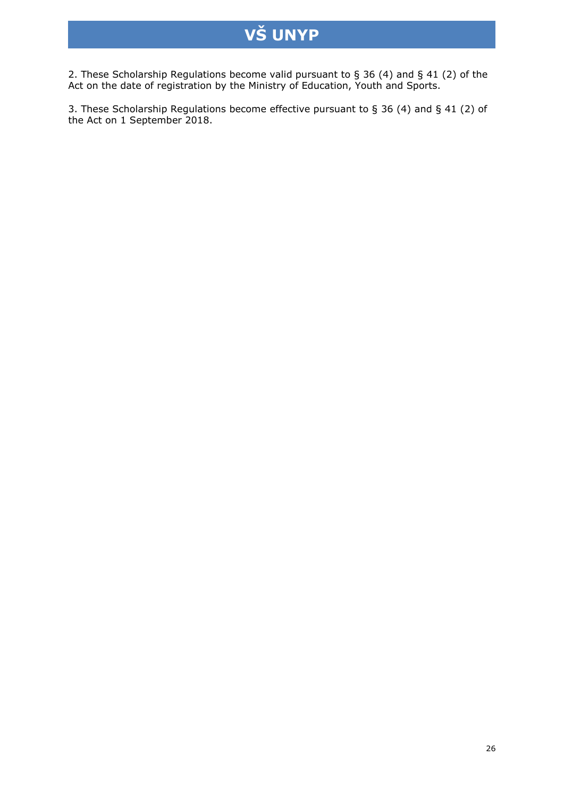2. These Scholarship Regulations become valid pursuant to § 36 (4) and § 41 (2) of the Act on the date of registration by the Ministry of Education, Youth and Sports.

3. These Scholarship Regulations become effective pursuant to § 36 (4) and § 41 (2) of the Act on 1 September 2018.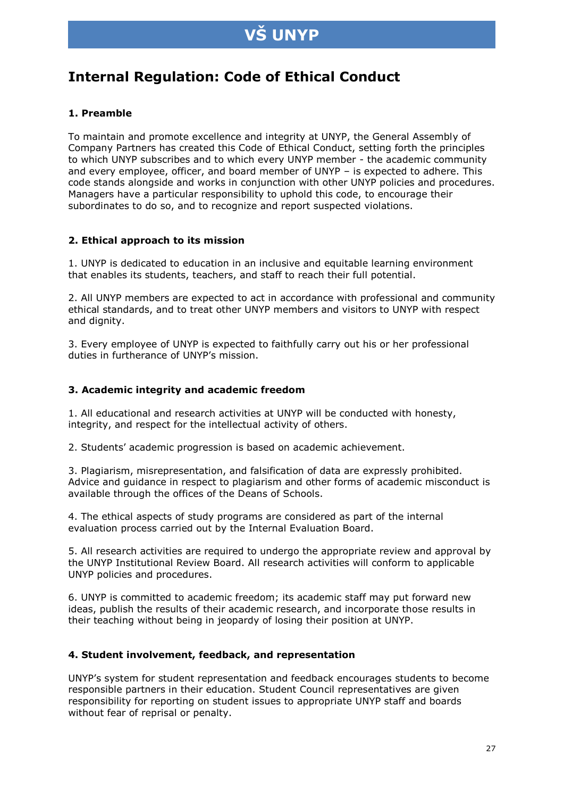# **S UNYP**

# **Internal Regulation: Code of Ethical Conduct**

#### **1. Preamble**

To maintain and promote excellence and integrity at UNYP, the General Assembly of Company Partners has created this Code of Ethical Conduct, setting forth the principles to which UNYP subscribes and to which every UNYP member - the academic community and every employee, officer, and board member of UNYP – is expected to adhere. This code stands alongside and works in conjunction with other UNYP policies and procedures. Managers have a particular responsibility to uphold this code, to encourage their subordinates to do so, and to recognize and report suspected violations.

#### **2. Ethical approach to its mission**

1. UNYP is dedicated to education in an inclusive and equitable learning environment that enables its students, teachers, and staff to reach their full potential.

2. All UNYP members are expected to act in accordance with professional and community ethical standards, and to treat other UNYP members and visitors to UNYP with respect and dignity.

3. Every employee of UNYP is expected to faithfully carry out his or her professional duties in furtherance of UNYP's mission.

#### **3. Academic integrity and academic freedom**

1. All educational and research activities at UNYP will be conducted with honesty, integrity, and respect for the intellectual activity of others.

2. Students' academic progression is based on academic achievement.

3. Plagiarism, misrepresentation, and falsification of data are expressly prohibited. Advice and guidance in respect to plagiarism and other forms of academic misconduct is available through the offices of the Deans of Schools.

4. The ethical aspects of study programs are considered as part of the internal evaluation process carried out by the Internal Evaluation Board.

5. All research activities are required to undergo the appropriate review and approval by the UNYP Institutional Review Board. All research activities will conform to applicable UNYP policies and procedures.

6. UNYP is committed to academic freedom; its academic staff may put forward new ideas, publish the results of their academic research, and incorporate those results in their teaching without being in jeopardy of losing their position at UNYP.

#### **4. Student involvement, feedback, and representation**

UNYP's system for student representation and feedback encourages students to become responsible partners in their education. Student Council representatives are given responsibility for reporting on student issues to appropriate UNYP staff and boards without fear of reprisal or penalty.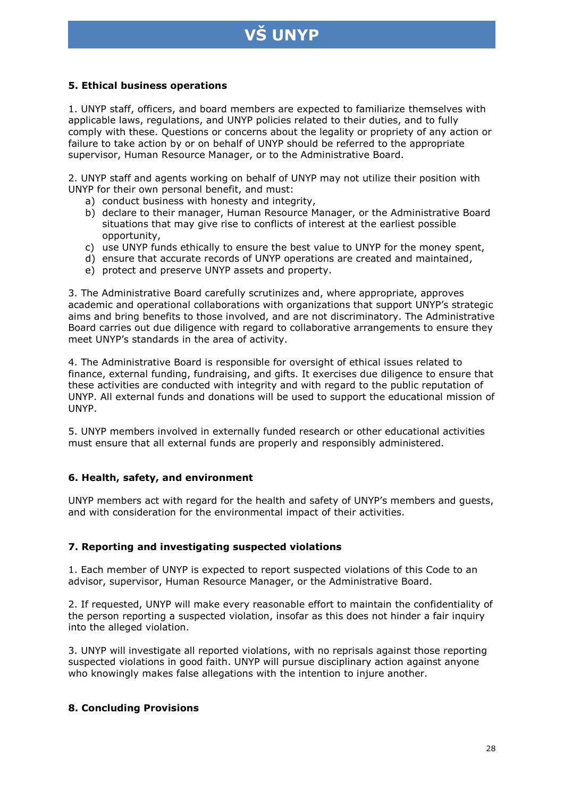# **S UNYP**

#### **5. Ethical business operations**

1. UNYP staff, officers, and board members are expected to familiarize themselves with applicable laws, regulations, and UNYP policies related to their duties, and to fully comply with these. Questions or concerns about the legality or propriety of any action or failure to take action by or on behalf of UNYP should be referred to the appropriate supervisor, Human Resource Manager, or to the Administrative Board.

2. UNYP staff and agents working on behalf of UNYP may not utilize their position with UNYP for their own personal benefit, and must:

- a) conduct business with honesty and integrity,
- b) declare to their manager, Human Resource Manager, or the Administrative Board situations that may give rise to conflicts of interest at the earliest possible opportunity,
- c) use UNYP funds ethically to ensure the best value to UNYP for the money spent,
- d) ensure that accurate records of UNYP operations are created and maintained,
- e) protect and preserve UNYP assets and property.

3. The Administrative Board carefully scrutinizes and, where appropriate, approves academic and operational collaborations with organizations that support UNYP's strategic aims and bring benefits to those involved, and are not discriminatory. The Administrative Board carries out due diligence with regard to collaborative arrangements to ensure they meet UNYP's standards in the area of activity.

4. The Administrative Board is responsible for oversight of ethical issues related to finance, external funding, fundraising, and gifts. It exercises due diligence to ensure that these activities are conducted with integrity and with regard to the public reputation of UNYP. All external funds and donations will be used to support the educational mission of UNYP.

5. UNYP members involved in externally funded research or other educational activities must ensure that all external funds are properly and responsibly administered.

#### **6. Health, safety, and environment**

UNYP members act with regard for the health and safety of UNYP's members and guests, and with consideration for the environmental impact of their activities.

#### **7. Reporting and investigating suspected violations**

1. Each member of UNYP is expected to report suspected violations of this Code to an advisor, supervisor, Human Resource Manager, or the Administrative Board.

2. If requested, UNYP will make every reasonable effort to maintain the confidentiality of the person reporting a suspected violation, insofar as this does not hinder a fair inquiry into the alleged violation.

3. UNYP will investigate all reported violations, with no reprisals against those reporting suspected violations in good faith. UNYP will pursue disciplinary action against anyone who knowingly makes false allegations with the intention to injure another.

#### **8. Concluding Provisions**